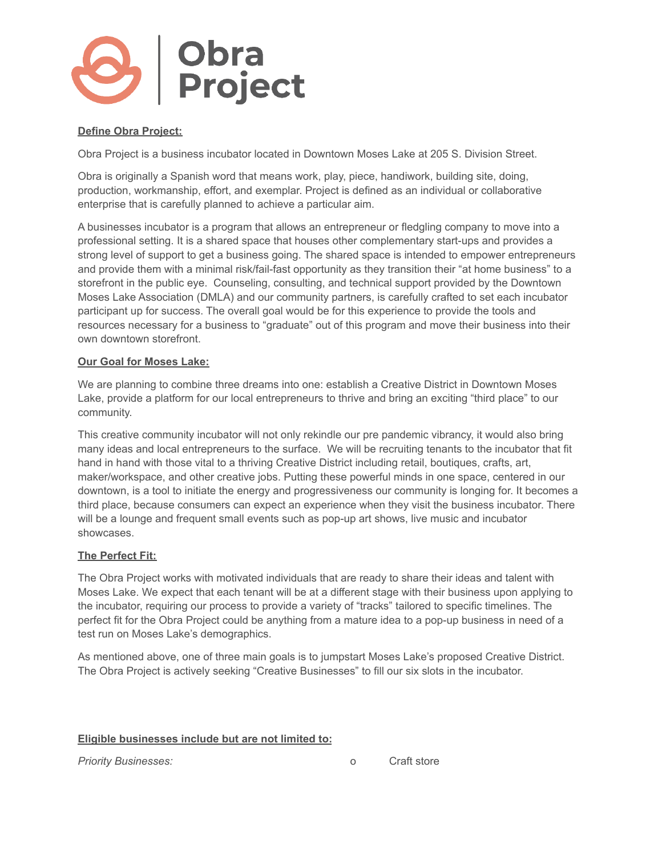

# **Define Obra Project:**

Obra Project is a business incubator located in Downtown Moses Lake at 205 S. Division Street.

Obra is originally a Spanish word that means work, play, piece, handiwork, building site, doing, production, workmanship, effort, and exemplar. Project is defined as an individual or collaborative enterprise that is carefully planned to achieve a particular aim.

A businesses incubator is a program that allows an entrepreneur or fledgling company to move into a professional setting. It is a shared space that houses other complementary start-ups and provides a strong level of support to get a business going. The shared space is intended to empower entrepreneurs and provide them with a minimal risk/fail-fast opportunity as they transition their "at home business" to a storefront in the public eye. Counseling, consulting, and technical support provided by the Downtown Moses Lake Association (DMLA) and our community partners, is carefully crafted to set each incubator participant up for success. The overall goal would be for this experience to provide the tools and resources necessary for a business to "graduate" out of this program and move their business into their own downtown storefront.

#### **Our Goal for Moses Lake:**

We are planning to combine three dreams into one: establish a Creative District in Downtown Moses Lake, provide a platform for our local entrepreneurs to thrive and bring an exciting "third place" to our community.

This creative community incubator will not only rekindle our pre pandemic vibrancy, it would also bring many ideas and local entrepreneurs to the surface. We will be recruiting tenants to the incubator that fit hand in hand with those vital to a thriving Creative District including retail, boutiques, crafts, art, maker/workspace, and other creative jobs. Putting these powerful minds in one space, centered in our downtown, is a tool to initiate the energy and progressiveness our community is longing for. It becomes a third place, because consumers can expect an experience when they visit the business incubator. There will be a lounge and frequent small events such as pop-up art shows, live music and incubator showcases.

### **The Perfect Fit:**

The Obra Project works with motivated individuals that are ready to share their ideas and talent with Moses Lake. We expect that each tenant will be at a different stage with their business upon applying to the incubator, requiring our process to provide a variety of "tracks" tailored to specific timelines. The perfect fit for the Obra Project could be anything from a mature idea to a pop-up business in need of a test run on Moses Lake's demographics.

As mentioned above, one of three main goals is to jumpstart Moses Lake's proposed Creative District. The Obra Project is actively seeking "Creative Businesses" to fill our six slots in the incubator.

#### **Eligible businesses include but are not limited to:**

*Priority Businesses:* o Craft store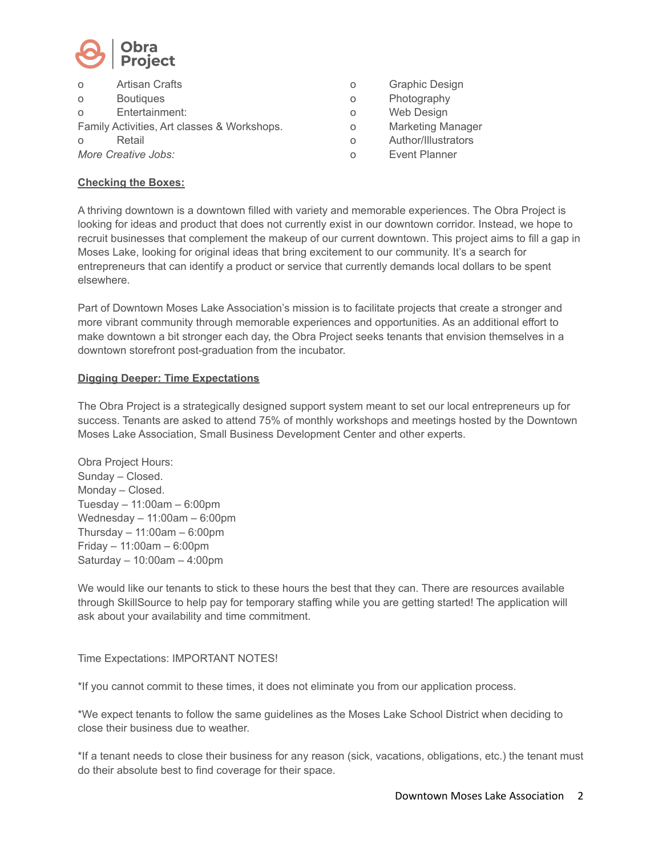

| $\circ$             | Artisan Crafts                              | O |
|---------------------|---------------------------------------------|---|
| $\circ$             | <b>Boutiques</b>                            | O |
| $\Omega$            | Entertainment:                              | O |
|                     | Family Activities, Art classes & Workshops. | O |
| ∩                   | Retail                                      | Ω |
| More Creative Jobs: |                                             |   |

- **Graphic Design**
- Photography
- Web Design
- **Marketing Manager**
- Author/Illustrators
- **Event Planner**

#### **Checking the Boxes:**

A thriving downtown is a downtown filled with variety and memorable experiences. The Obra Project is looking for ideas and product that does not currently exist in our downtown corridor. Instead, we hope to recruit businesses that complement the makeup of our current downtown. This project aims to fill a gap in Moses Lake, looking for original ideas that bring excitement to our community. It's a search for entrepreneurs that can identify a product or service that currently demands local dollars to be spent elsewhere.

Part of Downtown Moses Lake Association's mission is to facilitate projects that create a stronger and more vibrant community through memorable experiences and opportunities. As an additional effort to make downtown a bit stronger each day, the Obra Project seeks tenants that envision themselves in a downtown storefront post-graduation from the incubator.

#### **Digging Deeper: Time Expectations**

The Obra Project is a strategically designed support system meant to set our local entrepreneurs up for success. Tenants are asked to attend 75% of monthly workshops and meetings hosted by the Downtown Moses Lake Association, Small Business Development Center and other experts.

Obra Project Hours: Sunday – Closed. Monday – Closed. Tuesday – 11:00am – 6:00pm Wednesday – 11:00am – 6:00pm Thursday – 11:00am – 6:00pm Friday – 11:00am – 6:00pm Saturday – 10:00am – 4:00pm

We would like our tenants to stick to these hours the best that they can. There are resources available through SkillSource to help pay for temporary staffing while you are getting started! The application will ask about your availability and time commitment.

### Time Expectations: IMPORTANT NOTES!

\*If you cannot commit to these times, it does not eliminate you from our application process.

\*We expect tenants to follow the same guidelines as the Moses Lake School District when deciding to close their business due to weather.

\*If a tenant needs to close their business for any reason (sick, vacations, obligations, etc.) the tenant must do their absolute best to find coverage for their space.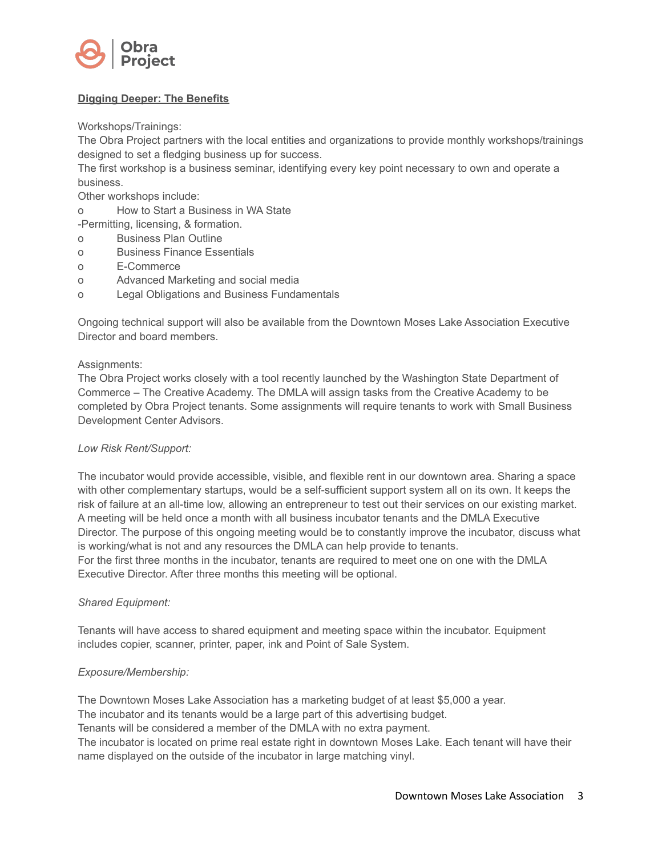

# **Digging Deeper: The Benefits**

Workshops/Trainings:

The Obra Project partners with the local entities and organizations to provide monthly workshops/trainings designed to set a fledging business up for success.

The first workshop is a business seminar, identifying every key point necessary to own and operate a business.

Other workshops include:

o How to Start a Business in WA State

-Permitting, licensing, & formation.

- o Business Plan Outline
- o Business Finance Essentials
- o E-Commerce
- o Advanced Marketing and social media
- o Legal Obligations and Business Fundamentals

Ongoing technical support will also be available from the Downtown Moses Lake Association Executive Director and board members.

#### Assignments:

The Obra Project works closely with a tool recently launched by the Washington State Department of Commerce – The Creative Academy. The DMLA will assign tasks from the Creative Academy to be completed by Obra Project tenants. Some assignments will require tenants to work with Small Business Development Center Advisors.

### *Low Risk Rent/Support:*

The incubator would provide accessible, visible, and flexible rent in our downtown area. Sharing a space with other complementary startups, would be a self-sufficient support system all on its own. It keeps the risk of failure at an all-time low, allowing an entrepreneur to test out their services on our existing market. A meeting will be held once a month with all business incubator tenants and the DMLA Executive Director. The purpose of this ongoing meeting would be to constantly improve the incubator, discuss what is working/what is not and any resources the DMLA can help provide to tenants. For the first three months in the incubator, tenants are required to meet one on one with the DMLA Executive Director. After three months this meeting will be optional.

#### *Shared Equipment:*

Tenants will have access to shared equipment and meeting space within the incubator. Equipment includes copier, scanner, printer, paper, ink and Point of Sale System.

### *Exposure/Membership:*

The Downtown Moses Lake Association has a marketing budget of at least \$5,000 a year. The incubator and its tenants would be a large part of this advertising budget. Tenants will be considered a member of the DMLA with no extra payment. The incubator is located on prime real estate right in downtown Moses Lake. Each tenant will have their name displayed on the outside of the incubator in large matching vinyl.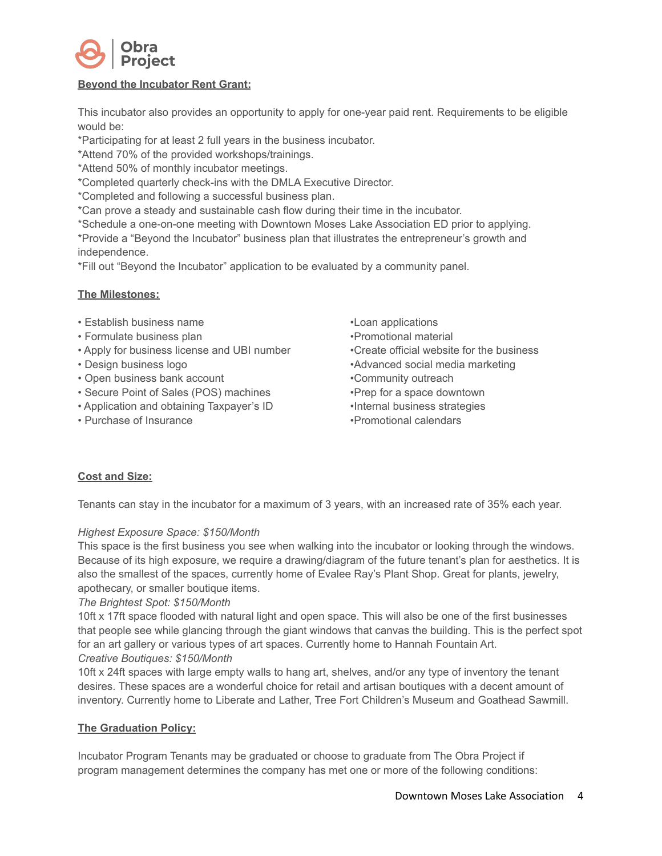

# **Beyond the Incubator Rent Grant:**

This incubator also provides an opportunity to apply for one-year paid rent. Requirements to be eligible would be:

\*Participating for at least 2 full years in the business incubator.

\*Attend 70% of the provided workshops/trainings.

\*Attend 50% of monthly incubator meetings.

\*Completed quarterly check-ins with the DMLA Executive Director.

\*Completed and following a successful business plan.

\*Can prove a steady and sustainable cash flow during their time in the incubator.

\*Schedule a one-on-one meeting with Downtown Moses Lake Association ED prior to applying. \*Provide a "Beyond the Incubator" business plan that illustrates the entrepreneur's growth and independence.

\*Fill out "Beyond the Incubator" application to be evaluated by a community panel.

### **The Milestones:**

- Establish business name
- Formulate business plan
- Apply for business license and UBI number
- Design business logo
- Open business bank account
- Secure Point of Sales (POS) machines
- Application and obtaining Taxpayer's ID
- Purchase of Insurance

•Loan applications •Promotional material •Create official website for the business •Advanced social media marketing •Community outreach •Prep for a space downtown •Internal business strategies •Promotional calendars

# **Cost and Size:**

Tenants can stay in the incubator for a maximum of 3 years, with an increased rate of 35% each year.

### *Highest Exposure Space: \$150/Month*

This space is the first business you see when walking into the incubator or looking through the windows. Because of its high exposure, we require a drawing/diagram of the future tenant's plan for aesthetics. It is also the smallest of the spaces, currently home of Evalee Ray's Plant Shop. Great for plants, jewelry, apothecary, or smaller boutique items.

### *The Brightest Spot: \$150/Month*

10ft x 17ft space flooded with natural light and open space. This will also be one of the first businesses that people see while glancing through the giant windows that canvas the building. This is the perfect spot for an art gallery or various types of art spaces. Currently home to Hannah Fountain Art. *Creative Boutiques: \$150/Month*

10ft x 24ft spaces with large empty walls to hang art, shelves, and/or any type of inventory the tenant desires. These spaces are a wonderful choice for retail and artisan boutiques with a decent amount of inventory. Currently home to Liberate and Lather, Tree Fort Children's Museum and Goathead Sawmill.

# **The Graduation Policy:**

Incubator Program Tenants may be graduated or choose to graduate from The Obra Project if program management determines the company has met one or more of the following conditions: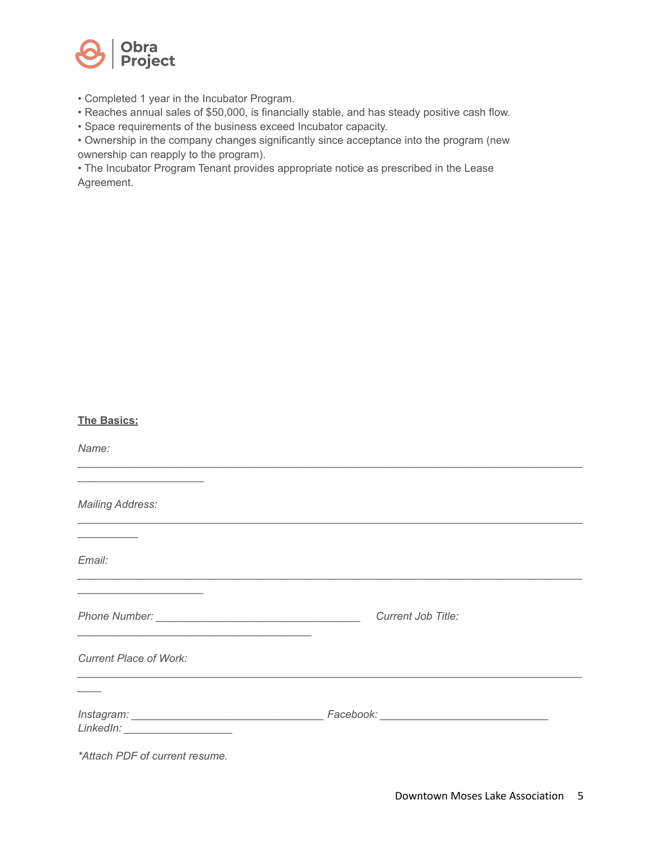

• Completed 1 year in the Incubator Program.

• Reaches annual sales of \$50,000, is financially stable, and has steady positive cash flow.

• Space requirements of the business exceed Incubator capacity.

• Ownership in the company changes significantly since acceptance into the program (new ownership can reapply to the program).

• The Incubator Program Tenant provides appropriate notice as prescribed in the Lease Agreement.

| <b>The Basics:</b>                                                                                                     |                    |
|------------------------------------------------------------------------------------------------------------------------|--------------------|
| Name:                                                                                                                  |                    |
| <u> 1989 - Johann John Stoff, deutscher Stoffen und der Stoffen und der Stoffen und der Stoffen und der Stoffen</u>    |                    |
| <b>Mailing Address:</b>                                                                                                |                    |
| <u> La Carlo de Carlo de la Carlo de Carlo de Carlo de la Carlo de Carlo de Carlo de Carlo de Carlo de Carlo de C</u>  |                    |
| Email:                                                                                                                 |                    |
| <u> 1950 - Johann John Stein, market fan de Amerikaanske kommunister oant it fan de Fryske kommunister fan de Frys</u> |                    |
|                                                                                                                        | Current Job Title: |
| <b>Current Place of Work:</b>                                                                                          |                    |
|                                                                                                                        |                    |
|                                                                                                                        |                    |
| *Attach PDF of current resume.                                                                                         |                    |
|                                                                                                                        |                    |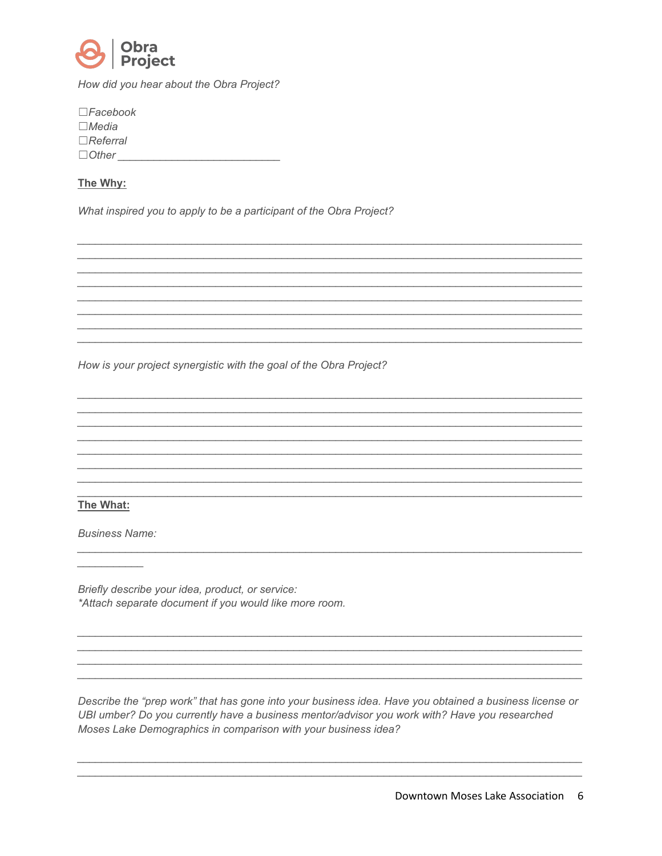

How did you hear about the Obra Project?

| $\square$ Facebook<br>$\Box$ Media |  |  |
|------------------------------------|--|--|
| $\Box$ Referral                    |  |  |
| $\Box$ Other                       |  |  |
|                                    |  |  |

## The Why:

What inspired you to apply to be a participant of the Obra Project?

How is your project synergistic with the goal of the Obra Project?

## The What:

**Business Name:** 

Briefly describe your idea, product, or service: \*Attach separate document if you would like more room.

Describe the "prep work" that has gone into your business idea. Have you obtained a business license or UBI umber? Do you currently have a business mentor/advisor you work with? Have you researched Moses Lake Demographics in comparison with your business idea?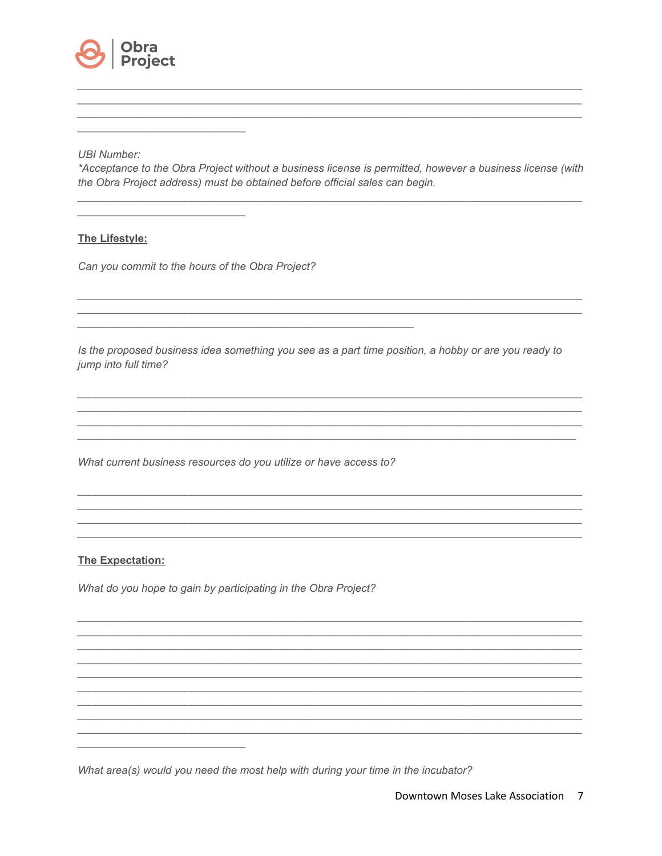

#### **UBI Number:**

\*Acceptance to the Obra Project without a business license is permitted, however a business license (with the Obra Project address) must be obtained before official sales can begin.

### The Lifestyle:

Can you commit to the hours of the Obra Project?

Is the proposed business idea something you see as a part time position, a hobby or are you ready to jump into full time?

<u> 1989 - Johann John Harry Harry Harry Harry Harry Harry Harry Harry Harry Harry Harry Harry Harry Harry Harry H</u>

What current business resources do you utilize or have access to?

### **The Expectation:**

What do you hope to gain by participating in the Obra Project?

What area(s) would you need the most help with during your time in the incubator?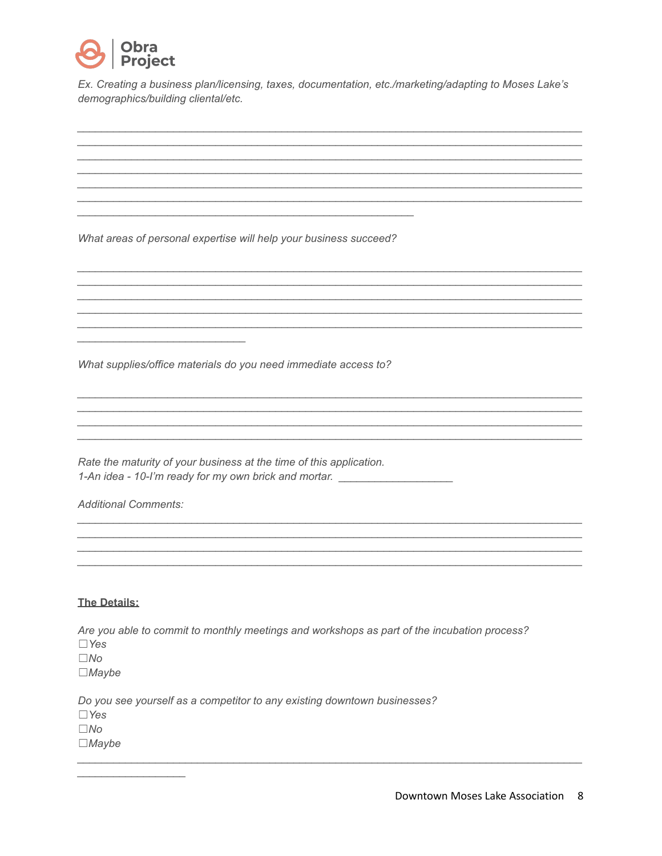

Ex. Creating a business plan/licensing, taxes, documentation, etc./marketing/adapting to Moses Lake's demographics/building cliental/etc.

<u> 1989 - Johann John Stone, market fan de Fryske kunstner fan de Fryske kunstne fan de Fryske kunstne fan de Fr</u>

What areas of personal expertise will help your business succeed?

What supplies/office materials do you need immediate access to?

Rate the maturity of your business at the time of this application. 1-An idea - 10-I'm ready for my own brick and mortar. \_\_\_\_\_\_\_\_\_\_\_\_\_\_\_\_\_\_\_\_\_\_\_\_\_\_

**Additional Comments:** 

#### **The Details:**

Are you able to commit to monthly meetings and workshops as part of the incubation process?  $\Box$  Yes  $\square$ No  $\Box$ *Maybe* Do you see yourself as a competitor to any existing downtown businesses?

 $\Box$  Yes  $\square$ No  $\Box$ *Maybe*